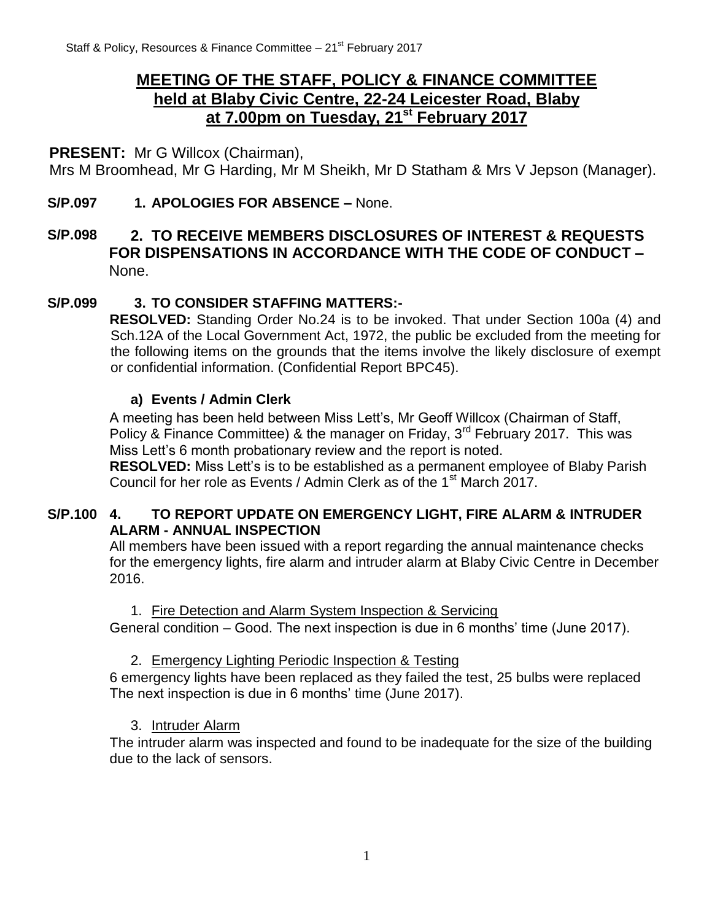# **MEETING OF THE STAFF, POLICY & FINANCE COMMITTEE held at Blaby Civic Centre, 22-24 Leicester Road, Blaby at 7.00pm on Tuesday, 21st February 2017**

## **PRESENT:** Mr G Willcox (Chairman),

Mrs M Broomhead, Mr G Harding, Mr M Sheikh, Mr D Statham & Mrs V Jepson (Manager).

## **S/P.097 1. APOLOGIES FOR ABSENCE –** None.

## **S/P.098 2. TO RECEIVE MEMBERS DISCLOSURES OF INTEREST & REQUESTS FOR DISPENSATIONS IN ACCORDANCE WITH THE CODE OF CONDUCT –** None.

### **S/P.099 3. TO CONSIDER STAFFING MATTERS:-**

**RESOLVED:** Standing Order No.24 is to be invoked. That under Section 100a (4) and Sch.12A of the Local Government Act, 1972, the public be excluded from the meeting for the following items on the grounds that the items involve the likely disclosure of exempt or confidential information. (Confidential Report BPC45).

### **a) Events / Admin Clerk**

A meeting has been held between Miss Lett's, Mr Geoff Willcox (Chairman of Staff, Policy & Finance Committee) & the manager on Friday, 3<sup>rd</sup> February 2017. This was Miss Lett's 6 month probationary review and the report is noted.

**RESOLVED:** Miss Lett's is to be established as a permanent employee of Blaby Parish Council for her role as Events / Admin Clerk as of the 1<sup>st</sup> March 2017.

### **S/P.100 4. TO REPORT UPDATE ON EMERGENCY LIGHT, FIRE ALARM & INTRUDER ALARM - ANNUAL INSPECTION**

All members have been issued with a report regarding the annual maintenance checks for the emergency lights, fire alarm and intruder alarm at Blaby Civic Centre in December 2016.

### 1. Fire Detection and Alarm System Inspection & Servicing

General condition – Good. The next inspection is due in 6 months' time (June 2017).

## 2. Emergency Lighting Periodic Inspection & Testing

6 emergency lights have been replaced as they failed the test, 25 bulbs were replaced The next inspection is due in 6 months' time (June 2017).

### 3. Intruder Alarm

The intruder alarm was inspected and found to be inadequate for the size of the building due to the lack of sensors.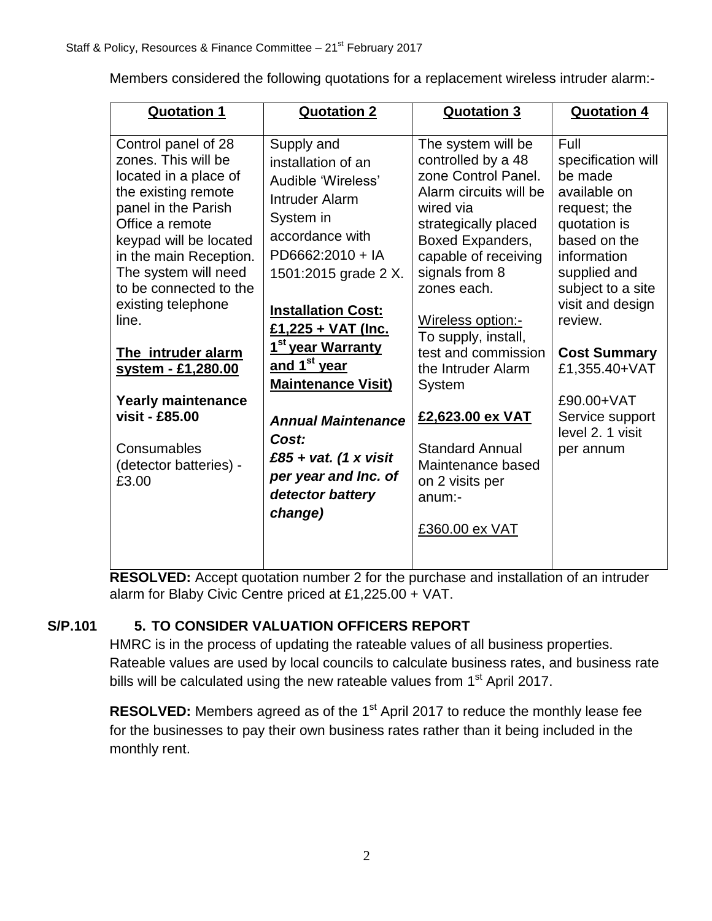Members considered the following quotations for a replacement wireless intruder alarm:-

| <b>Quotation 1</b>                                                                                                                                                                                                                                                                                                                                                                                                     | <b>Quotation 2</b>                                                                                                                                                                                                                                                                                                                                                                                                      | <b>Quotation 3</b>                                                                                                                                                                                                                                                                                                                                                                                                                  | <b>Quotation 4</b>                                                                                                                                                                                                                                                                                 |
|------------------------------------------------------------------------------------------------------------------------------------------------------------------------------------------------------------------------------------------------------------------------------------------------------------------------------------------------------------------------------------------------------------------------|-------------------------------------------------------------------------------------------------------------------------------------------------------------------------------------------------------------------------------------------------------------------------------------------------------------------------------------------------------------------------------------------------------------------------|-------------------------------------------------------------------------------------------------------------------------------------------------------------------------------------------------------------------------------------------------------------------------------------------------------------------------------------------------------------------------------------------------------------------------------------|----------------------------------------------------------------------------------------------------------------------------------------------------------------------------------------------------------------------------------------------------------------------------------------------------|
| Control panel of 28<br>zones. This will be<br>located in a place of<br>the existing remote<br>panel in the Parish<br>Office a remote<br>keypad will be located<br>in the main Reception.<br>The system will need<br>to be connected to the<br>existing telephone<br>line.<br>The intruder alarm<br>system - £1,280.00<br><b>Yearly maintenance</b><br>visit - £85.00<br>Consumables<br>(detector batteries) -<br>£3.00 | Supply and<br>installation of an<br>Audible 'Wireless'<br>Intruder Alarm<br>System in<br>accordance with<br>PD6662:2010 + IA<br>1501:2015 grade 2 X.<br><b>Installation Cost:</b><br>£1,225 + VAT (Inc.<br>1 <sup>st</sup> year Warranty<br>and 1 <sup>st</sup> year<br><b>Maintenance Visit)</b><br><b>Annual Maintenance</b><br>Cost:<br>£85 + vat. (1 x visit<br>per year and Inc. of<br>detector battery<br>change) | The system will be<br>controlled by a 48<br>zone Control Panel.<br>Alarm circuits will be<br>wired via<br>strategically placed<br>Boxed Expanders,<br>capable of receiving<br>signals from 8<br>zones each.<br>Wireless option:-<br>To supply, install,<br>test and commission<br>the Intruder Alarm<br>System<br>£2,623.00 ex VAT<br><b>Standard Annual</b><br>Maintenance based<br>on 2 visits per<br>$anum$ :-<br>£360.00 ex VAT | Full<br>specification will<br>be made<br>available on<br>request; the<br>quotation is<br>based on the<br>information<br>supplied and<br>subject to a site<br>visit and design<br>review.<br><b>Cost Summary</b><br>£1,355.40+VAT<br>£90.00+VAT<br>Service support<br>level 2. 1 visit<br>per annum |

**RESOLVED:** Accept quotation number 2 for the purchase and installation of an intruder alarm for Blaby Civic Centre priced at £1,225.00 + VAT.

## **S/P.101 5. TO CONSIDER VALUATION OFFICERS REPORT**

HMRC is in the process of updating the rateable values of all business properties. Rateable values are used by local councils to calculate business rates, and business rate bills will be calculated using the new rateable values from 1<sup>st</sup> April 2017.

**RESOLVED:** Members agreed as of the 1<sup>st</sup> April 2017 to reduce the monthly lease fee for the businesses to pay their own business rates rather than it being included in the monthly rent.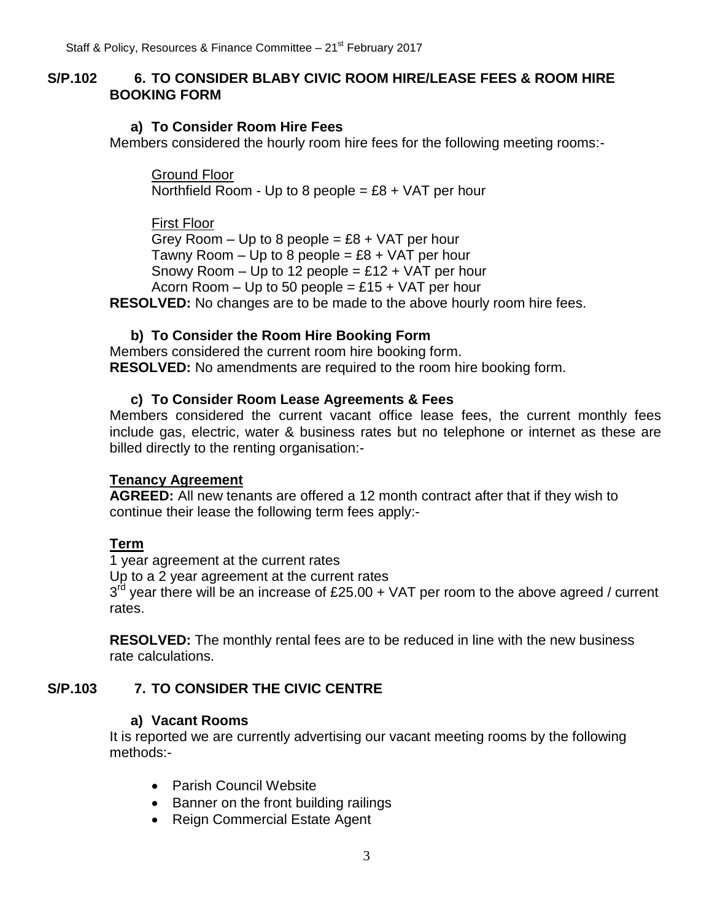### **S/P.102 6. TO CONSIDER BLABY CIVIC ROOM HIRE/LEASE FEES & ROOM HIRE BOOKING FORM**

#### **a) To Consider Room Hire Fees**

Members considered the hourly room hire fees for the following meeting rooms:-

Ground Floor Northfield Room - Up to 8 people =  $£8 + VAT$  per hour

First Floor

Grey Room  $-$  Up to 8 people = £8 + VAT per hour Tawny Room  $-$  Up to 8 people = £8 + VAT per hour Snowy Room  $-$  Up to 12 people = £12  $+$  VAT per hour Acorn Room  $-$  Up to 50 people = £15 + VAT per hour

**RESOLVED:** No changes are to be made to the above hourly room hire fees.

#### **b) To Consider the Room Hire Booking Form**

Members considered the current room hire booking form. **RESOLVED:** No amendments are required to the room hire booking form.

#### **c) To Consider Room Lease Agreements & Fees**

Members considered the current vacant office lease fees, the current monthly fees include gas, electric, water & business rates but no telephone or internet as these are billed directly to the renting organisation:-

#### **Tenancy Agreement**

**AGREED:** All new tenants are offered a 12 month contract after that if they wish to continue their lease the following term fees apply:-

### **Term**

1 year agreement at the current rates Up to a 2 year agreement at the current rates  $3<sup>rd</sup>$  year there will be an increase of £25.00 + VAT per room to the above agreed / current rates.

**RESOLVED:** The monthly rental fees are to be reduced in line with the new business rate calculations.

### **S/P.103 7. TO CONSIDER THE CIVIC CENTRE**

#### **a) Vacant Rooms**

It is reported we are currently advertising our vacant meeting rooms by the following methods:-

- Parish Council Website
- Banner on the front building railings
- Reign Commercial Estate Agent